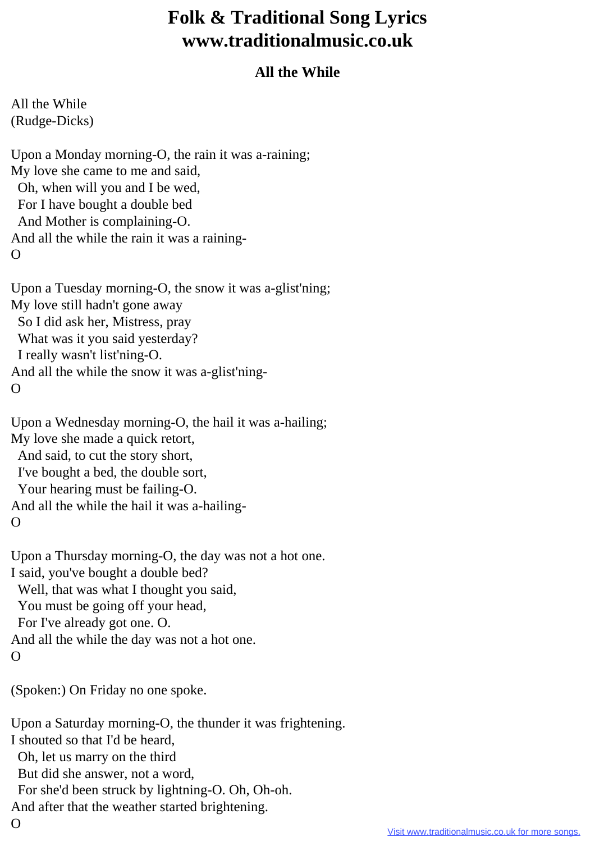## **Folk & Traditional Song Lyrics www.traditionalmusic.co.uk**

## **All the While**

All the While (Rudge-Dicks)

Upon a Monday morning-O, the rain it was a-raining; My love she came to me and said, Oh, when will you and I be wed, For I have bought a double bed And Mother is complaining-O. And all the while the rain it was a raining-O

Upon a Tuesday morning-O, the snow it was a-glist'ning; My love still hadn't gone away So I did ask her, Mistress, pray What was it you said yesterday? I really wasn't list'ning-O. And all the while the snow it was a-glist'ning- $\Omega$ 

Upon a Wednesday morning-O, the hail it was a-hailing; My love she made a quick retort, And said, to cut the story short, I've bought a bed, the double sort, Your hearing must be failing-O. And all the while the hail it was a-hailing- $\Omega$ 

Upon a Thursday morning-O, the day was not a hot one. I said, you've bought a double bed? Well, that was what I thought you said, You must be going off your head, For I've already got one. O. And all the while the day was not a hot one.  $\Omega$ 

(Spoken:) On Friday no one spoke.

Upon a Saturday morning-O, the thunder it was frightening. I shouted so that I'd be heard, Oh, let us marry on the third But did she answer, not a word, For she'd been struck by lightning-O. Oh, Oh-oh. And after that the weather started brightening. O